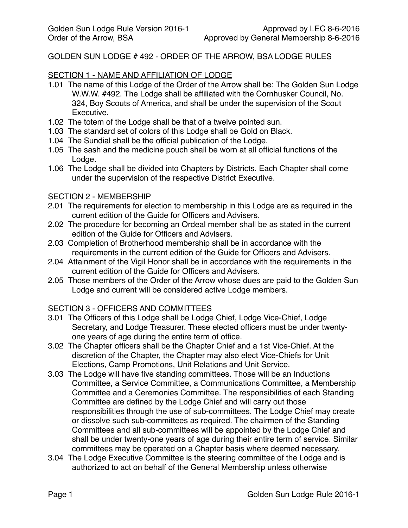### GOLDEN SUN LODGE # 492 - ORDER OF THE ARROW, BSA LODGE RULES

### SECTION 1 - NAME AND AFFILIATION OF LODGE

- 1.01 The name of this Lodge of the Order of the Arrow shall be: The Golden Sun Lodge W.W.W. #492. The Lodge shall be affiliated with the Cornhusker Council, No. 324, Boy Scouts of America, and shall be under the supervision of the Scout Executive.
- 1.02 The totem of the Lodge shall be that of a twelve pointed sun.
- 1.03 The standard set of colors of this Lodge shall be Gold on Black.
- 1.04 The Sundial shall be the official publication of the Lodge.
- 1.05 The sash and the medicine pouch shall be worn at all official functions of the Lodge.
- 1.06 The Lodge shall be divided into Chapters by Districts. Each Chapter shall come under the supervision of the respective District Executive.

#### SECTION 2 - MEMBERSHIP

- 2.01 The requirements for election to membership in this Lodge are as required in the current edition of the Guide for Officers and Advisers.
- 2.02 The procedure for becoming an Ordeal member shall be as stated in the current edition of the Guide for Officers and Advisers.
- 2.03 Completion of Brotherhood membership shall be in accordance with the requirements in the current edition of the Guide for Officers and Advisers.
- 2.04 Attainment of the Vigil Honor shall be in accordance with the requirements in the current edition of the Guide for Officers and Advisers.
- 2.05 Those members of the Order of the Arrow whose dues are paid to the Golden Sun Lodge and current will be considered active Lodge members.

# SECTION 3 - OFFICERS AND COMMITTEES

- 3.01 The Officers of this Lodge shall be Lodge Chief, Lodge Vice-Chief, Lodge Secretary, and Lodge Treasurer. These elected officers must be under twentyone years of age during the entire term of office.
- 3.02 The Chapter officers shall be the Chapter Chief and a 1st Vice-Chief. At the discretion of the Chapter, the Chapter may also elect Vice-Chiefs for Unit Elections, Camp Promotions, Unit Relations and Unit Service.
- 3.03 The Lodge will have five standing committees. Those will be an Inductions Committee, a Service Committee, a Communications Committee, a Membership Committee and a Ceremonies Committee. The responsibilities of each Standing Committee are defined by the Lodge Chief and will carry out those responsibilities through the use of sub-committees. The Lodge Chief may create or dissolve such sub-committees as required. The chairmen of the Standing Committees and all sub-committees will be appointed by the Lodge Chief and shall be under twenty-one years of age during their entire term of service. Similar committees may be operated on a Chapter basis where deemed necessary.
- 3.04 The Lodge Executive Committee is the steering committee of the Lodge and is authorized to act on behalf of the General Membership unless otherwise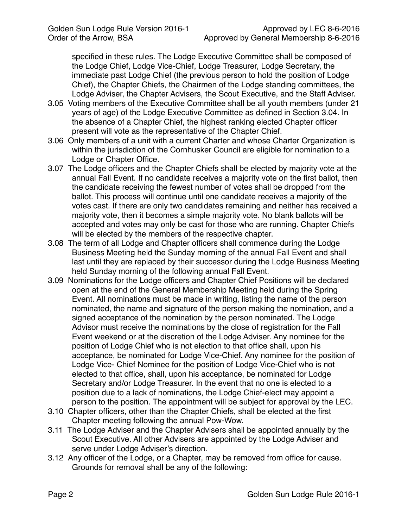specified in these rules. The Lodge Executive Committee shall be composed of the Lodge Chief, Lodge Vice-Chief, Lodge Treasurer, Lodge Secretary, the immediate past Lodge Chief (the previous person to hold the position of Lodge Chief), the Chapter Chiefs, the Chairmen of the Lodge standing committees, the Lodge Adviser, the Chapter Advisers, the Scout Executive, and the Staff Adviser.

- 3.05 Voting members of the Executive Committee shall be all youth members (under 21 years of age) of the Lodge Executive Committee as defined in Section 3.04. In the absence of a Chapter Chief, the highest ranking elected Chapter officer present will vote as the representative of the Chapter Chief.
- 3.06 Only members of a unit with a current Charter and whose Charter Organization is within the jurisdiction of the Cornhusker Council are eligible for nomination to a Lodge or Chapter Office.
- 3.07 The Lodge officers and the Chapter Chiefs shall be elected by majority vote at the annual Fall Event. If no candidate receives a majority vote on the first ballot, then the candidate receiving the fewest number of votes shall be dropped from the ballot. This process will continue until one candidate receives a majority of the votes cast. If there are only two candidates remaining and neither has received a majority vote, then it becomes a simple majority vote. No blank ballots will be accepted and votes may only be cast for those who are running. Chapter Chiefs will be elected by the members of the respective chapter.
- 3.08 The term of all Lodge and Chapter officers shall commence during the Lodge Business Meeting held the Sunday morning of the annual Fall Event and shall last until they are replaced by their successor during the Lodge Business Meeting held Sunday morning of the following annual Fall Event.
- 3.09 Nominations for the Lodge officers and Chapter Chief Positions will be declared open at the end of the General Membership Meeting held during the Spring Event. All nominations must be made in writing, listing the name of the person nominated, the name and signature of the person making the nomination, and a signed acceptance of the nomination by the person nominated. The Lodge Advisor must receive the nominations by the close of registration for the Fall Event weekend or at the discretion of the Lodge Adviser. Any nominee for the position of Lodge Chief who is not election to that office shall, upon his acceptance, be nominated for Lodge Vice-Chief. Any nominee for the position of Lodge Vice- Chief Nominee for the position of Lodge Vice-Chief who is not elected to that office, shall, upon his acceptance, be nominated for Lodge Secretary and/or Lodge Treasurer. In the event that no one is elected to a position due to a lack of nominations, the Lodge Chief-elect may appoint a person to the position. The appointment will be subject for approval by the LEC.
- 3.10 Chapter officers, other than the Chapter Chiefs, shall be elected at the first Chapter meeting following the annual Pow-Wow.
- 3.11 The Lodge Adviser and the Chapter Advisers shall be appointed annually by the Scout Executive. All other Advisers are appointed by the Lodge Adviser and serve under Lodge Adviser's direction.
- 3.12 Any officer of the Lodge, or a Chapter, may be removed from office for cause. Grounds for removal shall be any of the following: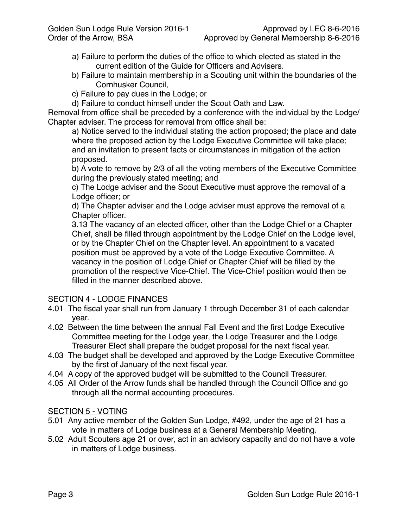- a) Failure to perform the duties of the office to which elected as stated in the current edition of the Guide for Officers and Advisers.
- b) Failure to maintain membership in a Scouting unit within the boundaries of the Cornhusker Council,
- c) Failure to pay dues in the Lodge; or
- d) Failure to conduct himself under the Scout Oath and Law.

Removal from office shall be preceded by a conference with the individual by the Lodge/ Chapter adviser. The process for removal from office shall be:

a) Notice served to the individual stating the action proposed; the place and date where the proposed action by the Lodge Executive Committee will take place; and an invitation to present facts or circumstances in mitigation of the action proposed.

b) A vote to remove by 2/3 of all the voting members of the Executive Committee during the previously stated meeting; and

c) The Lodge adviser and the Scout Executive must approve the removal of a Lodge officer; or

d) The Chapter adviser and the Lodge adviser must approve the removal of a Chapter officer.

3.13 The vacancy of an elected officer, other than the Lodge Chief or a Chapter Chief, shall be filled through appointment by the Lodge Chief on the Lodge level, or by the Chapter Chief on the Chapter level. An appointment to a vacated position must be approved by a vote of the Lodge Executive Committee. A vacancy in the position of Lodge Chief or Chapter Chief will be filled by the promotion of the respective Vice-Chief. The Vice-Chief position would then be filled in the manner described above.

# SECTION 4 - LODGE FINANCES

- 4.01 The fiscal year shall run from January 1 through December 31 of each calendar year.
- 4.02 Between the time between the annual Fall Event and the first Lodge Executive Committee meeting for the Lodge year, the Lodge Treasurer and the Lodge Treasurer Elect shall prepare the budget proposal for the next fiscal year.
- 4.03 The budget shall be developed and approved by the Lodge Executive Committee by the first of January of the next fiscal year.
- 4.04 A copy of the approved budget will be submitted to the Council Treasurer.
- 4.05 All Order of the Arrow funds shall be handled through the Council Office and go through all the normal accounting procedures.

# SECTION 5 - VOTING

- 5.01 Any active member of the Golden Sun Lodge, #492, under the age of 21 has a vote in matters of Lodge business at a General Membership Meeting.
- 5.02 Adult Scouters age 21 or over, act in an advisory capacity and do not have a vote in matters of Lodge business.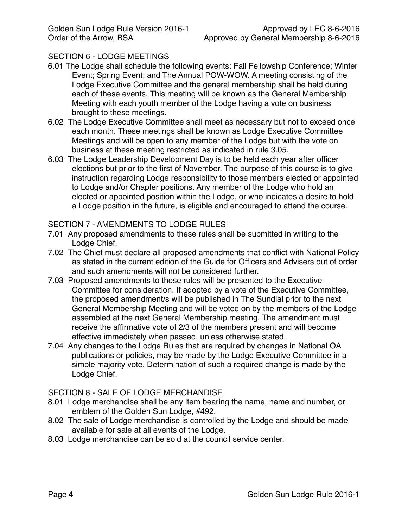Golden Sun Lodge Rule Version 2016-1 Order of the Arrow, BSA

### SECTION 6 - LODGE MEETINGS

- 6.01 The Lodge shall schedule the following events: Fall Fellowship Conference; Winter Event; Spring Event; and The Annual POW-WOW. A meeting consisting of the Lodge Executive Committee and the general membership shall be held during each of these events. This meeting will be known as the General Membership Meeting with each youth member of the Lodge having a vote on business brought to these meetings.
- 6.02 The Lodge Executive Committee shall meet as necessary but not to exceed once each month. These meetings shall be known as Lodge Executive Committee Meetings and will be open to any member of the Lodge but with the vote on business at these meeting restricted as indicated in rule 3.05.
- 6.03 The Lodge Leadership Development Day is to be held each year after officer elections but prior to the first of November. The purpose of this course is to give instruction regarding Lodge responsibility to those members elected or appointed to Lodge and/or Chapter positions. Any member of the Lodge who hold an elected or appointed position within the Lodge, or who indicates a desire to hold a Lodge position in the future, is eligible and encouraged to attend the course.

#### SECTION 7 - AMENDMENTS TO LODGE RULES

- 7.01 Any proposed amendments to these rules shall be submitted in writing to the Lodge Chief.
- 7.02 The Chief must declare all proposed amendments that conflict with National Policy as stated in the current edition of the Guide for Officers and Advisers out of order and such amendments will not be considered further.
- 7.03 Proposed amendments to these rules will be presented to the Executive Committee for consideration. If adopted by a vote of the Executive Committee, the proposed amendment/s will be published in The Sundial prior to the next General Membership Meeting and will be voted on by the members of the Lodge assembled at the next General Membership meeting. The amendment must receive the affirmative vote of 2/3 of the members present and will become effective immediately when passed, unless otherwise stated.
- 7.04 Any changes to the Lodge Rules that are required by changes in National OA publications or policies, may be made by the Lodge Executive Committee in a simple majority vote. Determination of such a required change is made by the Lodge Chief.

#### SECTION 8 - SALE OF LODGE MERCHANDISE

- 8.01 Lodge merchandise shall be any item bearing the name, name and number, or emblem of the Golden Sun Lodge, #492.
- 8.02 The sale of Lodge merchandise is controlled by the Lodge and should be made available for sale at all events of the Lodge.
- 8.03 Lodge merchandise can be sold at the council service center.